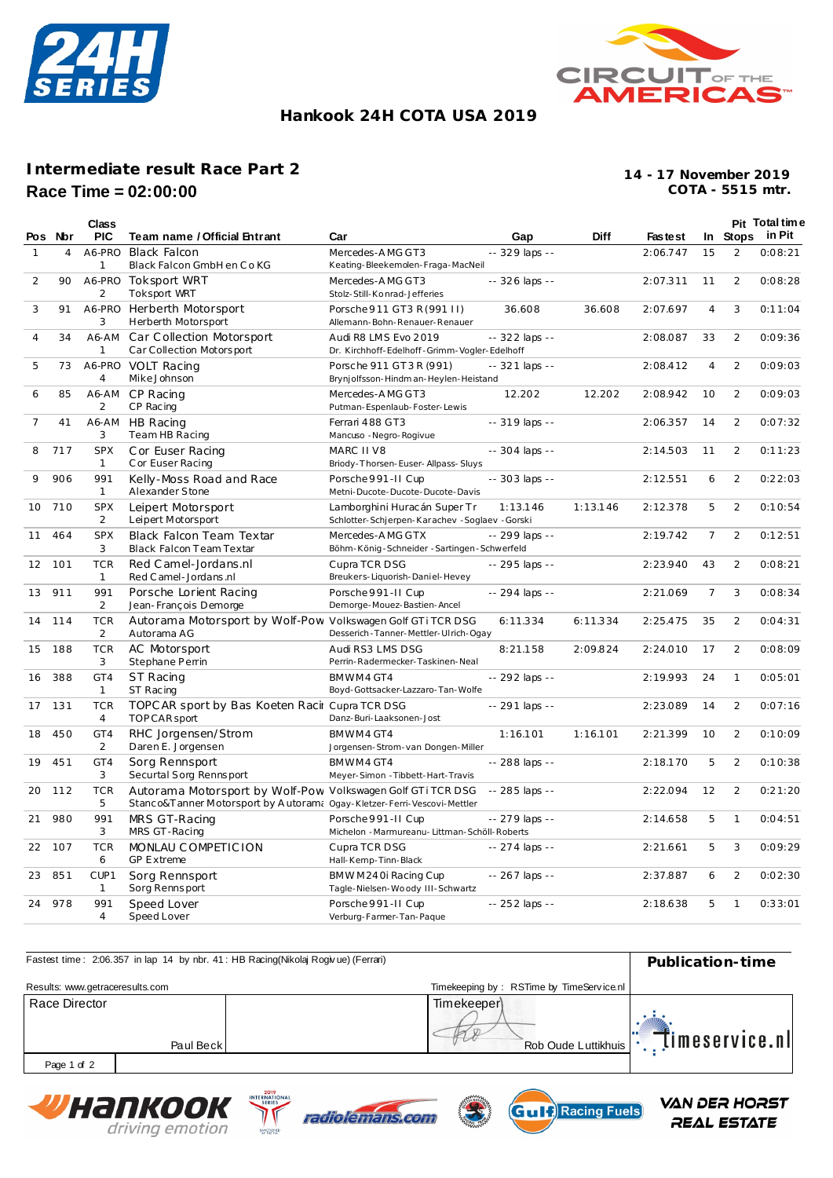



# **Hankook 24H COTA USA 2019**

# **Intermediate result Race Part 2 Race Time = 02:00:00**

**COTA - 5515 mtr. 14 - 17 November 2019**

|                |         | Class                      |                                                                                                                                        |                                                                               |                 |             |                |                |                | Pit Total time  |
|----------------|---------|----------------------------|----------------------------------------------------------------------------------------------------------------------------------------|-------------------------------------------------------------------------------|-----------------|-------------|----------------|----------------|----------------|-----------------|
|                | Pos Nor | <b>PIC</b>                 | Team name / Official Entrant                                                                                                           | Car                                                                           | Gap             | <b>Diff</b> | <b>Fastest</b> |                |                | In Stops in Pit |
| 1              | 4       | A6-PRO<br>1                | <b>Black Falcon</b><br>Black Falcon GmbH en Co KG                                                                                      | Mercedes-AMG GT3<br>Keating-Bleekemolen-Fraga-MacNeil                         | -- 329 laps --  |             | 2:06.747       | 15             | 2              | 0:08:21         |
| 2              | 90      | A6-PRO<br>2                | <b>Toksport WRT</b><br><b>Toksport WRT</b>                                                                                             | Mercedes-AMG GT3<br>Stolz-Still-Konrad-Jefferies                              | -- 326 laps --  |             | 2:07.311       | 11             | 2              | 0:08:28         |
| 3              | 91      | A6-PRO<br>3                | Herberth Motorsport<br>Herberth Motorsport                                                                                             | Porsche 911 GT3 R (991 II)<br>Allemann-Bohn-Renauer-Renauer                   | 36.608          | 36.608      | 2:07.697       | $\overline{4}$ | 3              | 0:11:04         |
| $\overline{4}$ | 34      | A6-AM<br>1                 | Car Collection Motorsport<br>Car Collection Motorsport                                                                                 | Audi R8 LMS Evo 2019<br>Dr. Kirchhoff-Edelhoff-Grimm-Vogler-Edelhoff          | -- 322 laps --  |             | 2:08.087       | 33             | 2              | 0:09:36         |
| 5              | 73      | A6-PRO<br>$\overline{4}$   | <b>VOLT Racing</b><br>Mike Johnson                                                                                                     | Porsche 911 GT3R (991)<br>Brynjolfsson-Hindman-Heylen-Heistand                | $-321$ laps $-$ |             | 2:08.412       | 4              | 2              | 0:09:03         |
| 6              | 85      | A6-AM<br>2                 | CP Racing<br>CP Racing                                                                                                                 | Mercedes-AMG GT3<br>Putman-Espenlaub-Foster-Lewis                             | 12.202          | 12.202      | 2:08.942       | 10             | $\overline{2}$ | 0:09:03         |
| 7              | 41      | A6-AM<br>3                 | HB Racing<br>Team HB Racing                                                                                                            | Ferrari 488 GT3<br>Mancuso - Negro-Rogivue                                    | -- 319 laps --  |             | 2:06.357       | 14             | 2              | 0:07:32         |
| 8              | 717     | <b>SPX</b><br>$\mathbf{1}$ | Cor Euser Racing<br>C or Euser Racing                                                                                                  | MARC II V8<br>Briody-Thorsen-Euser-Allpass-Sluys                              | -- 304 laps --  |             | 2:14.503       | 11             | 2              | 0:11:23         |
| 9              | 906     | 991<br>1                   | Kelly-Moss Road and Race<br>Alexander Stone                                                                                            | Porsche 991-II Cup<br>Metni-Ducote-Ducote-Ducote-Davis                        | -- 303 laps --  |             | 2:12.551       | 6              | 2              | 0:22:03         |
| 10             | 710     | <b>SPX</b><br>2            | Leipert Motorsport<br>Leipert Motorsport                                                                                               | Lamborghini Huracán Super Tr<br>Schlotter-Schjerpen-Karachev -Soglaev -Gorski | 1:13.146        | 1:13.146    | 2:12.378       | 5              | 2              | 0:10:54         |
| 11             | 464     | <b>SPX</b><br>3            | Black Falcon Team Textar<br>Black Falcon Team Textar                                                                                   | Mercedes-AMG GTX<br>Böhm-König-Schneider - Sartingen-Schwerfeld               | -- 299 laps --  |             | 2:19.742       | $\overline{7}$ | 2              | 0:12:51         |
| 12             | 101     | <b>TCR</b><br>$\mathbf{1}$ | Red Camel-Jordans.nl<br>Red C amel - Jordans .nl                                                                                       | Cupra TCR DSG<br>Breukers-Liquorish-Daniel-Hevey                              | -- 295 laps --  |             | 2:23.940       | 43             | 2              | 0:08:21         |
| 13             | 911     | 991<br>2                   | Porsche Lorient Racing<br>Jean-François Demorge                                                                                        | Porsche 991-II Cup<br>Demorge-Mouez-Bastien-Ancel                             | -- 294 laps --  |             | 2:21.069       | $\overline{7}$ | 3              | 0:08:34         |
| 14             | 114     | <b>TCR</b><br>2            | Autorama Motorsport by Wolf-Pow Volkswagen Golf GTi TCR DSG<br>Autorama AG                                                             | Desserich-Tanner-Mettler-Ulrich-Ogay                                          | 6:11.334        | 6:11.334    | 2:25.475       | 35             | 2              | 0:04:31         |
| 15             | 188     | <b>TCR</b><br>3            | AC Motorsport<br>Stephane Perrin                                                                                                       | Audi RS3 LMS DSG<br>Perrin-Radermecker-Taskinen-Neal                          | 8:21.158        | 2:09.824    | 2:24.010       | 17             | 2              | 0:08:09         |
| 16             | 388     | GT4<br>1                   | <b>ST Racing</b><br>ST Racing                                                                                                          | BMWM4 GT4<br>Boyd-Gottsacker-Lazzaro-Tan-Wolfe                                | -- 292 laps --  |             | 2:19.993       | 24             | 1              | 0:05:01         |
| 17             | 131     | <b>TCR</b><br>4            | TOPC AR sport by Bas Koeten Racir Cupra TCR DSG<br>TOPCAR sport                                                                        | Danz-Buri-Laaksonen-Jost                                                      | -- 291 laps --  |             | 2:23.089       | 14             | 2              | 0:07:16         |
| 18             | 450     | GT4<br>2                   | RHC Jorgensen/Strom<br>Daren E. Jorgensen                                                                                              | BMWM4 GT4<br>Jorgensen-Strom-van Dongen-Miller                                | 1:16.101        | 1:16.101    | 2:21.399       | 10             | 2              | 0:10:09         |
| 19             | 451     | GT4<br>3                   | Sorg Rennsport<br>Securtal Sorg Rennsport                                                                                              | BMWM4 GT4<br>Meyer-Simon - Tibbett-Hart-Travis                                | -- 288 laps --  |             | 2:18.170       | 5              | 2              | 0:10:38         |
| 20             | 112     | <b>TCR</b><br>5            | Autorama Motorsport by Wolf-Pow Volkswagen Golf GTi TCR DSG<br>Stanco&Tanner Motorsport by Autoram: Ogay-Kletzer-Ferri-Vescovi-Mettler |                                                                               | -- 285 laps --  |             | 2:22.094       | 12             | 2              | 0:21:20         |
| 21             | 980     | 991<br>3                   | MRS GT-Racing<br>MRS GT-Racing                                                                                                         | Porsche 991-II Cup<br>Michelon - Marmureanu- Littman-Schöll-Roberts           | -- 279 laps --  |             | 2:14.658       | 5              | $\mathbf{1}$   | 0:04:51         |
| 22             | 107     | <b>TCR</b><br>6            | MONLAU COMPETICION<br><b>GP Extreme</b>                                                                                                | Cupra TCR DSG<br>Hall-Kemp-Tinn-Black                                         | -- 274 laps --  |             | 2:21.661       | 5              | 3              | 0:09:29         |
| 23             | 851     | CUP1<br>1                  | Sorg Rennsport<br>Sorg Rennsport                                                                                                       | BMWM240i Racing Cup<br>Tagle-Nielsen-Woody III-Schwartz                       | -- 267 laps --  |             | 2:37.887       | 6              | 2              | 0:02:30         |
| 24             | 978     | 991<br>4                   | Speed Lover<br>Speed Lover                                                                                                             | Porsche 991-II Cup<br>Verburg-Farmer-Tan-Paque                                | -- 252 laps --  |             | 2:18.638       | 5              | $\mathbf{1}$   | 0:33:01         |

| Fastest time: 2:06.357 in lap 14 by nbr. 41: HB Racing(Nikolaj Rogivue) (Ferrari) | Publication-time |                                          |                                              |  |
|-----------------------------------------------------------------------------------|------------------|------------------------------------------|----------------------------------------------|--|
| Results: www.getraceresults.com                                                   |                  | Timekeeping by: RSTime by TimeService.nl |                                              |  |
| Race Director                                                                     | Paul Beck        | Timekeeper<br>Rob Oude Luttikhuis        | $\mathbb{E}$ $\mathbb{I}$ imeservice.nl<br>. |  |
| Page 1 of 2                                                                       |                  |                                          |                                              |  |